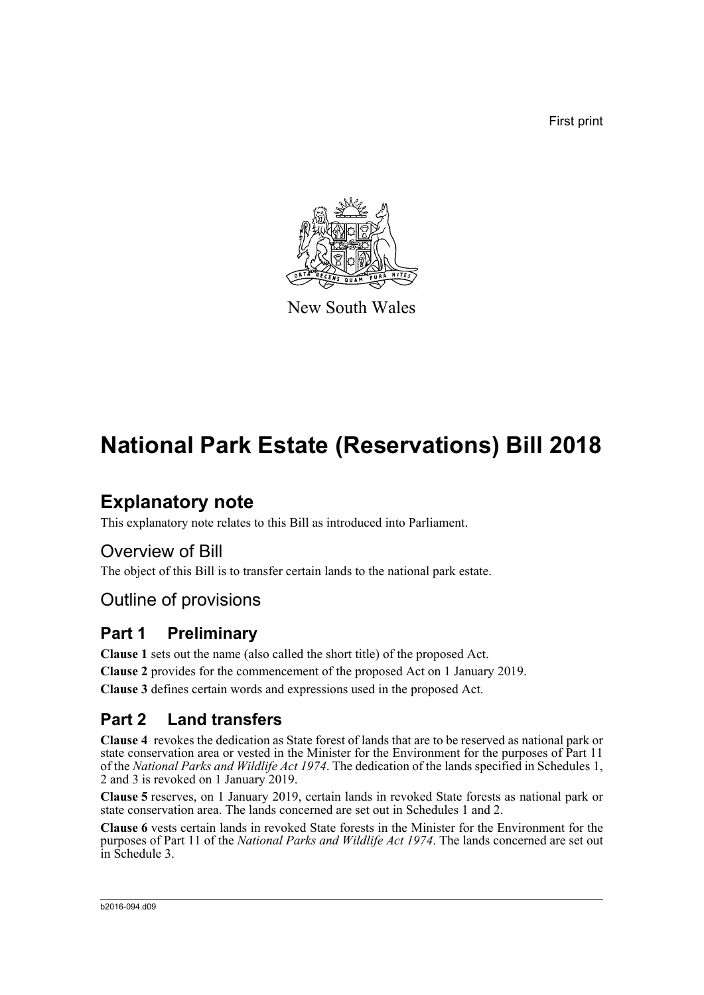First print



New South Wales

# **National Park Estate (Reservations) Bill 2018**

# **Explanatory note**

This explanatory note relates to this Bill as introduced into Parliament.

# Overview of Bill

The object of this Bill is to transfer certain lands to the national park estate.

# Outline of provisions

## **Part 1 Preliminary**

**Clause 1** sets out the name (also called the short title) of the proposed Act.

**Clause 2** provides for the commencement of the proposed Act on 1 January 2019.

**Clause 3** defines certain words and expressions used in the proposed Act.

# **Part 2 Land transfers**

**Clause 4** revokes the dedication as State forest of lands that are to be reserved as national park or state conservation area or vested in the Minister for the Environment for the purposes of Part 11 of the *National Parks and Wildlife Act 1974*. The dedication of the lands specified in Schedules 1, 2 and 3 is revoked on 1 January 2019.

**Clause 5** reserves, on 1 January 2019, certain lands in revoked State forests as national park or state conservation area. The lands concerned are set out in Schedules 1 and 2.

**Clause 6** vests certain lands in revoked State forests in the Minister for the Environment for the purposes of Part 11 of the *National Parks and Wildlife Act 1974*. The lands concerned are set out in Schedule 3.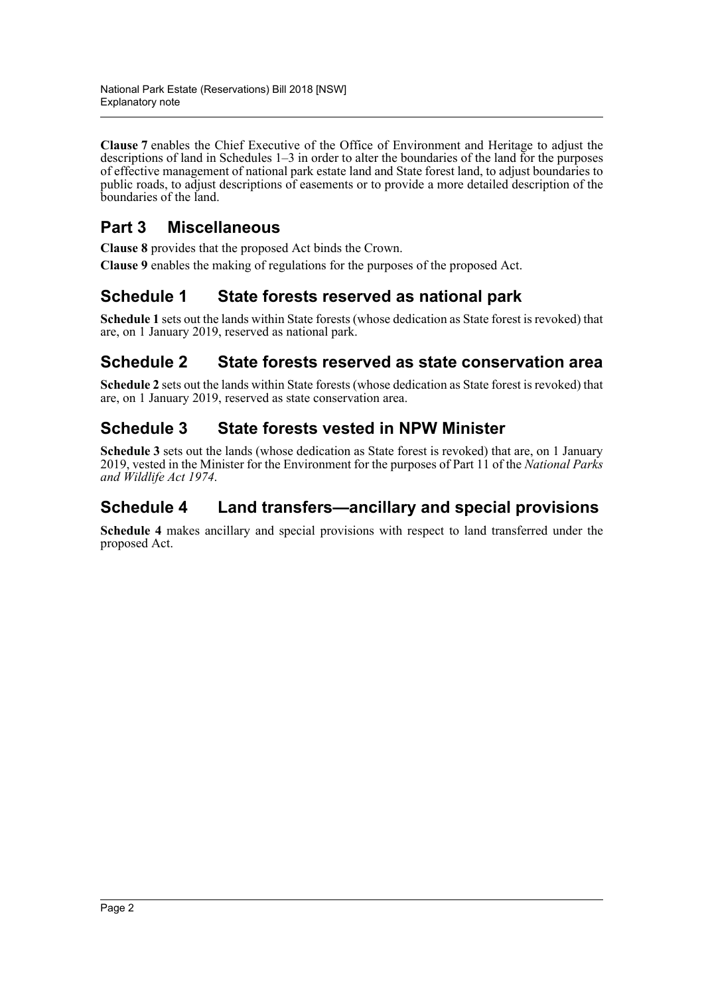**Clause 7** enables the Chief Executive of the Office of Environment and Heritage to adjust the descriptions of land in Schedules 1–3 in order to alter the boundaries of the land for the purposes of effective management of national park estate land and State forest land, to adjust boundaries to public roads, to adjust descriptions of easements or to provide a more detailed description of the boundaries of the land.

# **Part 3 Miscellaneous**

**Clause 8** provides that the proposed Act binds the Crown.

**Clause 9** enables the making of regulations for the purposes of the proposed Act.

# **Schedule 1 [State forests reserved as national park](#page-9-0)**

**Schedule 1** sets out the lands within State forests (whose dedication as State forest is revoked) that are, on 1 January 2019, reserved as national park.

# **Schedule 2 [State forests reserved as state conservation area](#page-9-0)**

**Schedule 2** sets out the lands within State forests (whose dedication as State forest is revoked) that are, on 1 January 2019, reserved as state conservation area.

## **Schedule 3 State forests vested in NPW Minister**

**Schedule 3** sets out the lands (whose dedication as State forest is revoked) that are, on 1 January 2019, vested in the Minister for the Environment for the purposes of Part 11 of the *National Parks and Wildlife Act 1974*.

## **Schedule 4 Land transfers—ancillary and special provisions**

**Schedule 4** makes ancillary and special provisions with respect to land transferred under the proposed Act.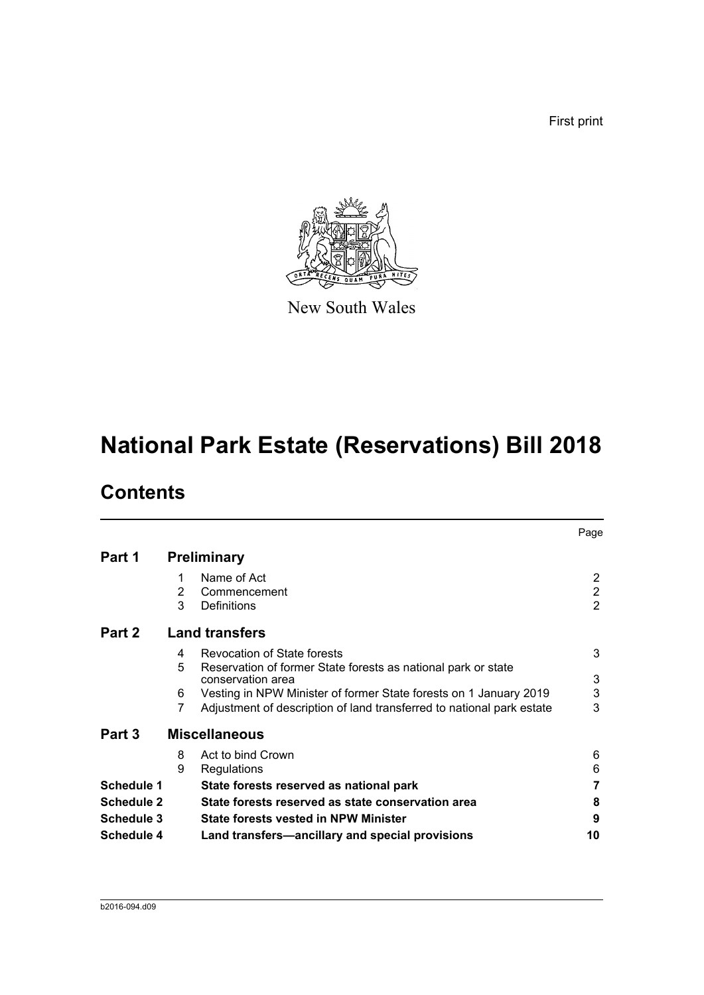First print



New South Wales

# **National Park Estate (Reservations) Bill 2018**

# **Contents**

|                   |                       |                                                                       | Page           |  |
|-------------------|-----------------------|-----------------------------------------------------------------------|----------------|--|
| Part 1            |                       | <b>Preliminary</b>                                                    |                |  |
|                   | 1                     | Name of Act                                                           | 2              |  |
|                   | 2                     | Commencement                                                          | $\overline{2}$ |  |
|                   | 3                     | Definitions                                                           | $\overline{2}$ |  |
| Part 2            | <b>Land transfers</b> |                                                                       |                |  |
|                   | 4                     | Revocation of State forests                                           | 3              |  |
|                   | 5                     | Reservation of former State forests as national park or state         |                |  |
|                   |                       | conservation area                                                     | 3              |  |
|                   | 6                     | Vesting in NPW Minister of former State forests on 1 January 2019     | 3              |  |
|                   | 7                     | Adjustment of description of land transferred to national park estate | 3              |  |
| Part 3            |                       | <b>Miscellaneous</b>                                                  |                |  |
|                   | 8                     | Act to bind Crown                                                     | 6              |  |
|                   | 9                     | Regulations                                                           | 6              |  |
| Schedule 1        |                       | State forests reserved as national park                               | 7              |  |
| <b>Schedule 2</b> |                       | State forests reserved as state conservation area                     | 8              |  |
| Schedule 3        |                       | <b>State forests vested in NPW Minister</b>                           | 9              |  |
| <b>Schedule 4</b> |                       | Land transfers—ancillary and special provisions                       | 10             |  |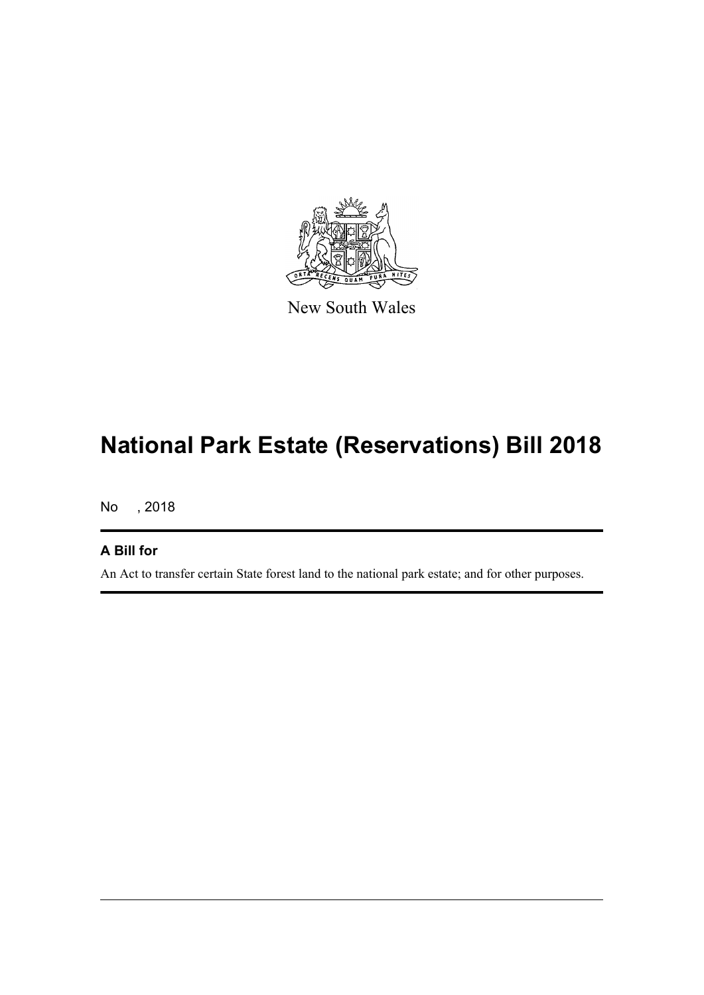

New South Wales

# **National Park Estate (Reservations) Bill 2018**

No , 2018

## **A Bill for**

An Act to transfer certain State forest land to the national park estate; and for other purposes.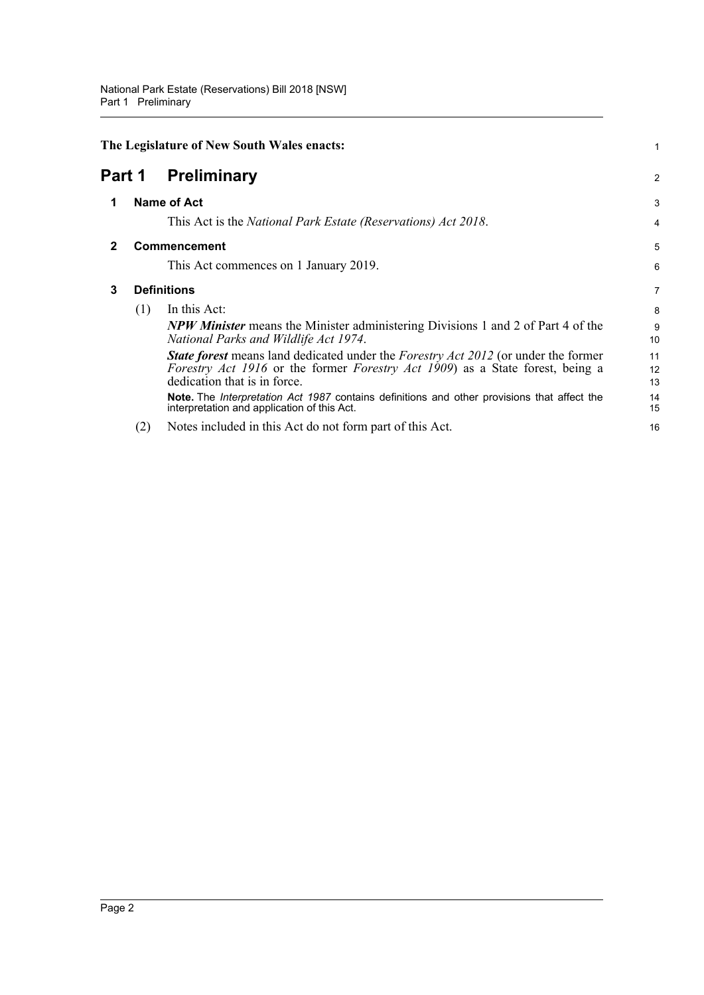<span id="page-4-3"></span><span id="page-4-2"></span><span id="page-4-1"></span><span id="page-4-0"></span>

|              | The Legislature of New South Wales enacts:<br><b>Preliminary</b><br>Part 1 |                                                                                                                                                                                                                                  |                |
|--------------|----------------------------------------------------------------------------|----------------------------------------------------------------------------------------------------------------------------------------------------------------------------------------------------------------------------------|----------------|
|              |                                                                            |                                                                                                                                                                                                                                  |                |
| 1            |                                                                            | <b>Name of Act</b>                                                                                                                                                                                                               | 3              |
|              |                                                                            | This Act is the <i>National Park Estate (Reservations) Act 2018</i> .                                                                                                                                                            | 4              |
| $\mathbf{2}$ |                                                                            | <b>Commencement</b>                                                                                                                                                                                                              | 5              |
|              |                                                                            | This Act commences on 1 January 2019.                                                                                                                                                                                            | 6              |
| 3            | <b>Definitions</b>                                                         |                                                                                                                                                                                                                                  | 7              |
|              | (1)                                                                        | In this Act:<br><b>NPW Minister</b> means the Minister administering Divisions 1 and 2 of Part 4 of the<br>National Parks and Wildlife Act 1974.                                                                                 | 8<br>9<br>10   |
|              |                                                                            | <b>State forest</b> means land dedicated under the <i>Forestry Act 2012</i> (or under the former<br><i>Forestry Act 1916</i> or the former <i>Forestry Act 1909</i> ) as a State forest, being a<br>dedication that is in force. | 11<br>12<br>13 |
|              |                                                                            | <b>Note.</b> The <i>Interpretation Act 1987</i> contains definitions and other provisions that affect the<br>interpretation and application of this Act.                                                                         | 14<br>15       |
|              | (2)                                                                        | Notes included in this Act do not form part of this Act.                                                                                                                                                                         | 16             |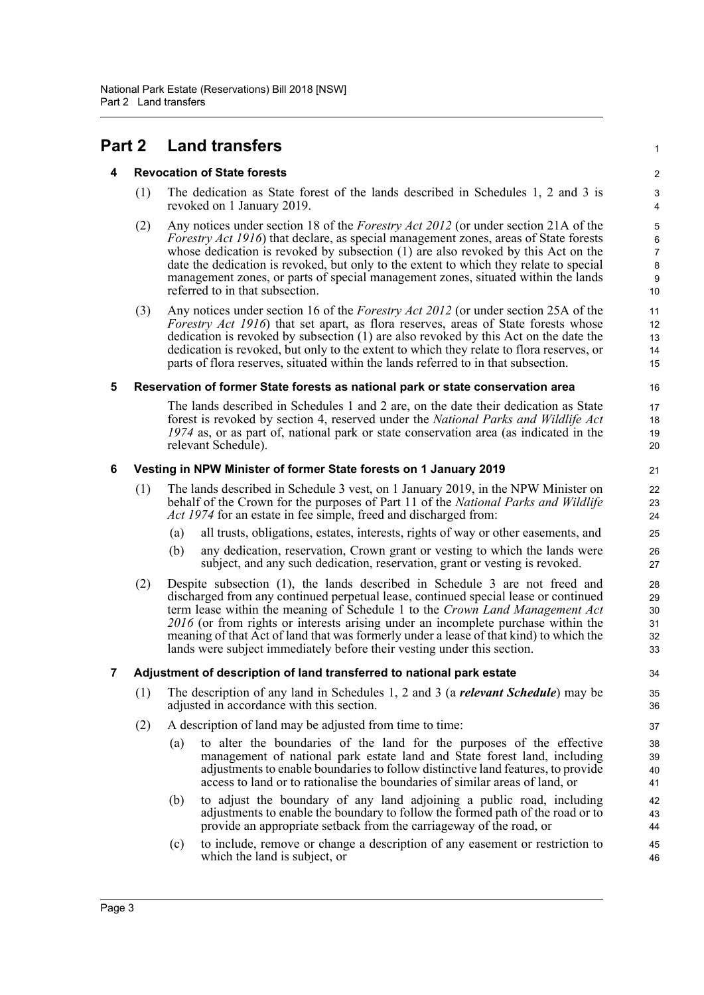# <span id="page-5-1"></span><span id="page-5-0"></span>**Part 2 Land transfers** <sup>1</sup>

## **4 Revocation of State forests** 2

- (1) The dedication as State forest of the lands described in Schedules 1, 2 and 3 is  $\frac{3}{2}$ revoked on 1 January 2019. 4
- (2) Any notices under section 18 of the *Forestry Act 2012* (or under section 21A of the 5 *Forestry Act 1916*) that declare, as special management zones, areas of State forests whose dedication is revoked by subsection (1) are also revoked by this Act on the date the dedication is revoked, but only to the extent to which they relate to special management zones, or parts of special management zones, situated within the lands referred to in that subsection. 10

14 13 12

19 18

23

40 39

43

(3) Any notices under section 16 of the *Forestry Act 2012* (or under section 25A of the 11 *Forestry Act 1916*) that set apart, as flora reserves, areas of State forests whose dedication is revoked by subsection (1) are also revoked by this Act on the date the dedication is revoked, but only to the extent to which they relate to flora reserves, or parts of flora reserves, situated within the lands referred to in that subsection. 15

#### <span id="page-5-2"></span>**5 Reservation of former State forests as national park or state conservation area** 16

The lands described in Schedules 1 and 2 are, on the date their dedication as State 17 forest is revoked by section 4, reserved under the *National Parks and Wildlife Act 1974* as, or as part of, national park or state conservation area (as indicated in the relevant Schedule). 20

#### <span id="page-5-3"></span>**6 Vesting in NPW Minister of former State forests on 1 January 2019** 21

- (1) The lands described in Schedule 3 vest, on 1 January 2019, in the NPW Minister on 22 behalf of the Crown for the purposes of Part 11 of the *National Parks and Wildlife Act 1974* for an estate in fee simple, freed and discharged from: 24
	- (a) all trusts, obligations, estates, interests, rights of way or other easements, and 25
	- (b) any dedication, reservation, Crown grant or vesting to which the lands were 26 subject, and any such dedication, reservation, grant or vesting is revoked. 27
- (2) Despite subsection (1), the lands described in Schedule 3 are not freed and 28 discharged from any continued perpetual lease, continued special lease or continued term lease within the meaning of Schedule 1 to the *Crown Land Management Act 2016* (or from rights or interests arising under an incomplete purchase within the meaning of that Act of land that was formerly under a lease of that kind) to which the lands were subject immediately before their vesting under this section. 33

#### <span id="page-5-4"></span>**7 Adjustment of description of land transferred to national park estate** 34

- (1) The description of any land in Schedules 1, 2 and 3 (a *relevant Schedule*) may be 35 adjusted in accordance with this section. 36
- (2) A description of land may be adjusted from time to time: 37
	- (a) to alter the boundaries of the land for the purposes of the effective 38 management of national park estate land and State forest land, including adjustments to enable boundaries to follow distinctive land features, to provide access to land or to rationalise the boundaries of similar areas of land, or 41
	- (b) to adjust the boundary of any land adjoining a public road, including 42 adjustments to enable the boundary to follow the formed path of the road or to provide an appropriate setback from the carriageway of the road, or 44
	- (c) to include, remove or change a description of any easement or restriction to 45 which the land is subject, or 46

Page 3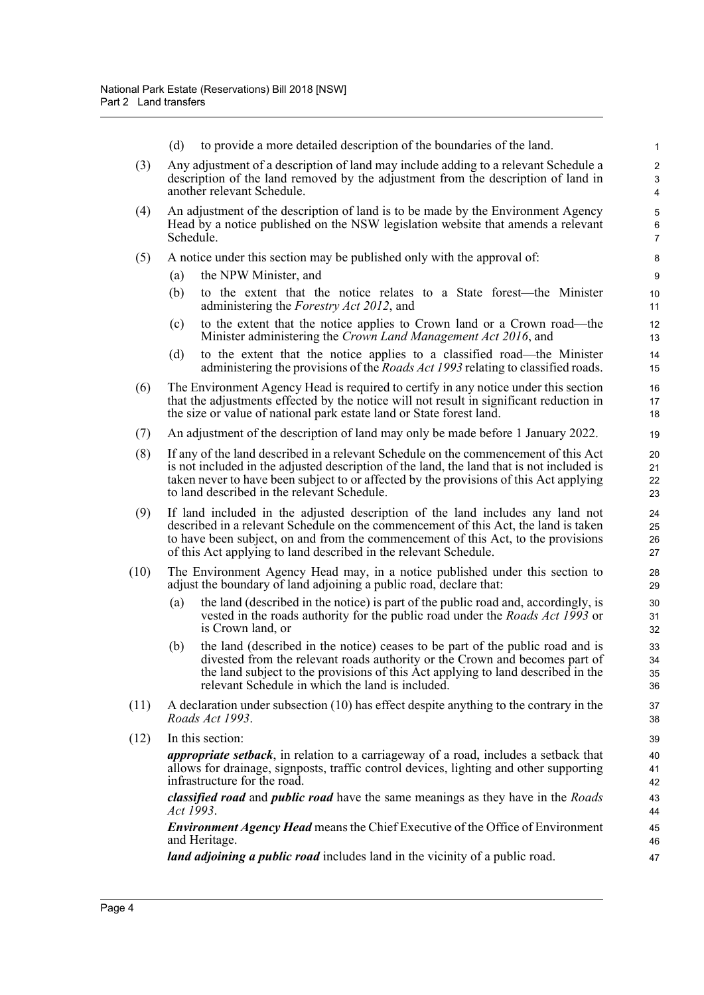|     | to provide a more detailed description of the boundaries of the land.<br>(d)                                                                                                                                                                                                                                              | $\mathbf{1}$ |  |  |
|-----|---------------------------------------------------------------------------------------------------------------------------------------------------------------------------------------------------------------------------------------------------------------------------------------------------------------------------|--------------|--|--|
| (3) | Any adjustment of a description of land may include adding to a relevant Schedule a<br>description of the land removed by the adjustment from the description of land in<br>another relevant Schedule.                                                                                                                    |              |  |  |
| (4) | An adjustment of the description of land is to be made by the Environment Agency<br>Head by a notice published on the NSW legislation website that amends a relevant<br>Schedule.                                                                                                                                         |              |  |  |
| (5) | A notice under this section may be published only with the approval of:                                                                                                                                                                                                                                                   |              |  |  |
|     | the NPW Minister, and<br>(a)                                                                                                                                                                                                                                                                                              | 9            |  |  |
|     | (b)<br>to the extent that the notice relates to a State forest—the Minister<br>administering the Forestry Act 2012, and                                                                                                                                                                                                   | 10<br>11     |  |  |
|     | to the extent that the notice applies to Crown land or a Crown road—the<br>(c)<br>Minister administering the Crown Land Management Act 2016, and                                                                                                                                                                          | 12<br>13     |  |  |
|     | to the extent that the notice applies to a classified road—the Minister<br>(d)<br>administering the provisions of the <i>Roads Act 1993</i> relating to classified roads.                                                                                                                                                 | 14<br>15     |  |  |
| (6) | The Environment Agency Head is required to certify in any notice under this section<br>that the adjustments effected by the notice will not result in significant reduction in<br>the size or value of national park estate land or State forest land.                                                                    |              |  |  |
| (7) | An adjustment of the description of land may only be made before 1 January 2022.                                                                                                                                                                                                                                          |              |  |  |
| (8) | If any of the land described in a relevant Schedule on the commencement of this Act<br>is not included in the adjusted description of the land, the land that is not included is<br>taken never to have been subject to or affected by the provisions of this Act applying<br>to land described in the relevant Schedule. |              |  |  |

- (9) If land included in the adjusted description of the land includes any land not 24 described in a relevant Schedule on the commencement of this Act, the land is taken to have been subject, on and from the commencement of this Act, to the provisions of this Act applying to land described in the relevant Schedule. 27
- (10) The Environment Agency Head may, in a notice published under this section to 28 adjust the boundary of land adjoining a public road, declare that: 29
	- (a) the land (described in the notice) is part of the public road and, accordingly, is 30 vested in the roads authority for the public road under the *Roads Act 1993* or is Crown land, or 32

26 25

31

35 34

41

43

 $45$ 

- (b) the land (described in the notice) ceases to be part of the public road and is 33 divested from the relevant roads authority or the Crown and becomes part of the land subject to the provisions of this Act applying to land described in the relevant Schedule in which the land is included. 36
- $(11)$  A declaration under subsection  $(10)$  has effect despite anything to the contrary in the  $37$ *Roads Act 1993*. 38
- (12) In this section: 39

*appropriate setback*, in relation to a carriageway of a road, includes a setback that 40 allows for drainage, signposts, traffic control devices, lighting and other supporting infrastructure for the road. 42

*classified road* and *public road* have the same meanings as they have in the *Roads Act 1993*. 44

*Environment Agency Head* means the Chief Executive of the Office of Environment and Heritage. 46

*land adjoining a public road* includes land in the vicinity of a public road. 47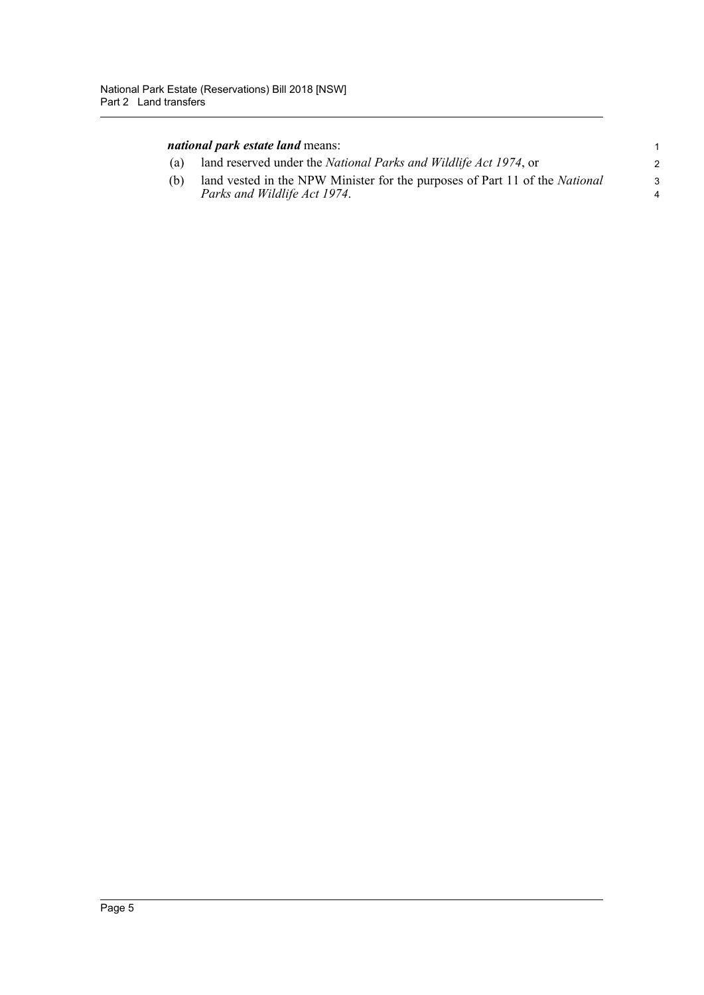| <i>national park estate land means:</i> |  |
|-----------------------------------------|--|
|-----------------------------------------|--|

| (a) | land reserved under the <i>National Parks and Wildlife Act 1974</i> , or                                    |  |
|-----|-------------------------------------------------------------------------------------------------------------|--|
| (b) | land vested in the NPW Minister for the purposes of Part 11 of the National<br>Parks and Wildlife Act 1974. |  |
|     |                                                                                                             |  |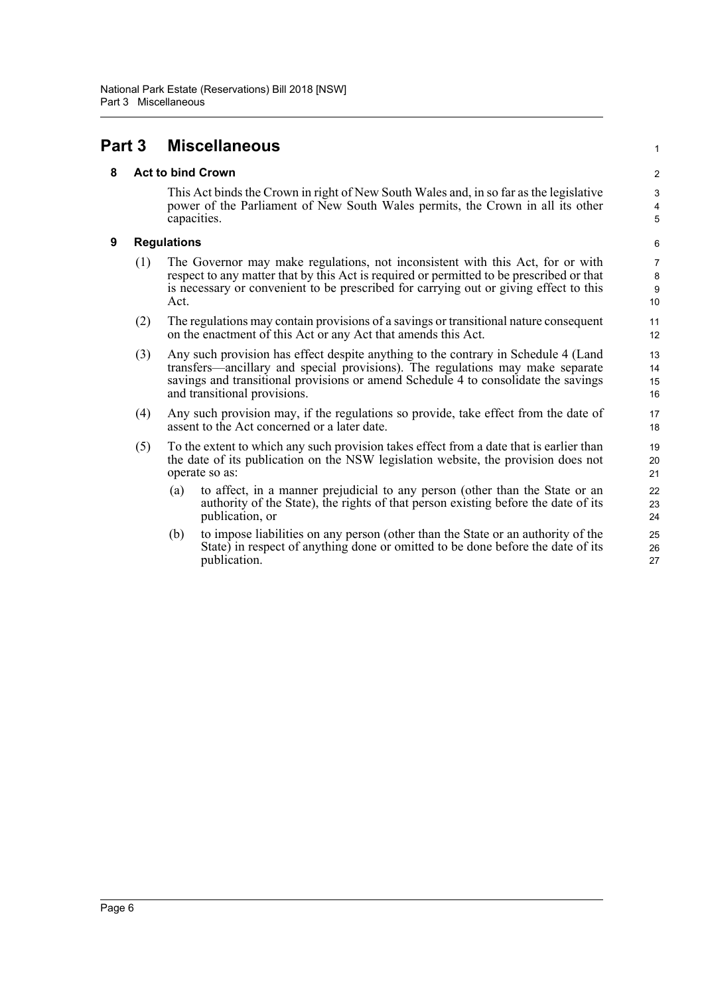## <span id="page-8-1"></span><span id="page-8-0"></span>**Part 3 Miscellaneous** <sup>1</sup>

## **8 Act to bind Crown** 2

This Act binds the Crown in right of New South Wales and, in so far as the legislative 3 power of the Parliament of New South Wales permits, the Crown in all its other capacities. 5

4

9 8

15 14

20

23

26

#### <span id="page-8-2"></span>**9 Regulations** 6

- (1) The Governor may make regulations, not inconsistent with this Act, for or with  $\frac{7}{2}$ respect to any matter that by this Act is required or permitted to be prescribed or that is necessary or convenient to be prescribed for carrying out or giving effect to this Act.  $\qquad \qquad$  10
- (2) The regulations may contain provisions of a savings or transitional nature consequent  $11$ on the enactment of this Act or any Act that amends this Act. 12
- (3) Any such provision has effect despite anything to the contrary in Schedule 4 (Land 13 transfers—ancillary and special provisions). The regulations may make separate savings and transitional provisions or amend Schedule 4 to consolidate the savings and transitional provisions. 16
- (4) Any such provision may, if the regulations so provide, take effect from the date of 17 assent to the Act concerned or a later date. 18
- (5) To the extent to which any such provision takes effect from a date that is earlier than 19 the date of its publication on the NSW legislation website, the provision does not operate so as: 21
	- (a) to affect, in a manner prejudicial to any person (other than the State or an 22 authority of the State), the rights of that person existing before the date of its publication, or 24
	- (b) to impose liabilities on any person (other than the State or an authority of the 25 State) in respect of anything done or omitted to be done before the date of its publication. 27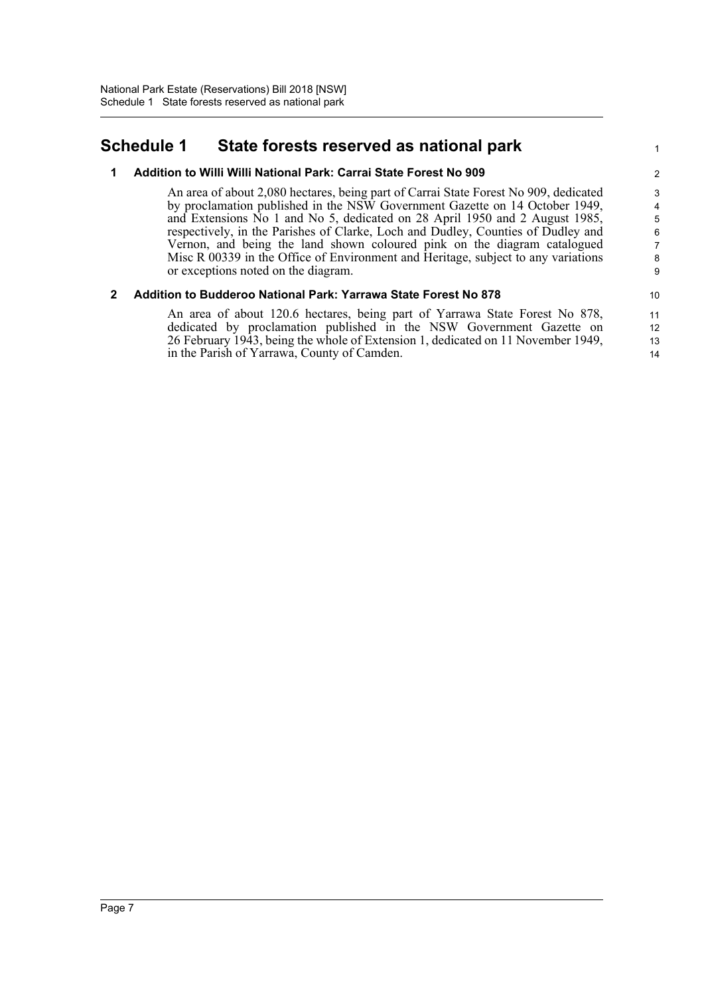## <span id="page-9-0"></span>**Schedule 1 State forests reserved as national park** <sup>1</sup>

#### **1 Addition to Willi Willi National Park: Carrai State Forest No 909** 2

An area of about 2,080 hectares, being part of Carrai State Forest No 909, dedicated 3 by proclamation published in the NSW Government Gazette on 14 October 1949, and Extensions No 1 and No 5, dedicated on 28 April 1950 and 2 August 1985, respectively, in the Parishes of Clarke, Loch and Dudley, Counties of Dudley and Vernon, and being the land shown coloured pink on the diagram catalogued Misc R 00339 in the Office of Environment and Heritage, subject to any variations or exceptions noted on the diagram.

13 12

## **2 Addition to Budderoo National Park: Yarrawa State Forest No 878** 10

An area of about 120.6 hectares, being part of Yarrawa State Forest No 878, 11 dedicated by proclamation published in the NSW Government Gazette on 26 February 1943, being the whole of Extension 1, dedicated on 11 November 1949, in the Parish of Yarrawa, County of Camden. 14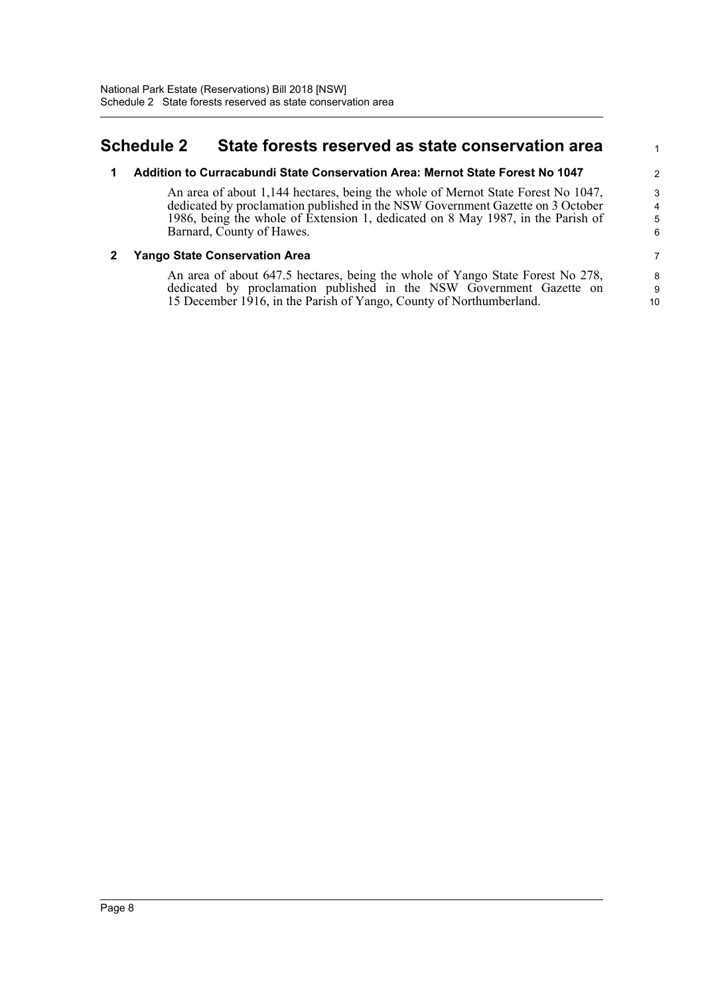## <span id="page-10-0"></span>**Schedule 2 State forests reserved as state conservation area** <sup>1</sup>

## **1 Addition to Curracabundi State Conservation Area: Mernot State Forest No 1047** 2

An area of about 1,144 hectares, being the whole of Mernot State Forest No 1047, 3 dedicated by proclamation published in the NSW Government Gazette on 3 October 1986, being the whole of Extension 1, dedicated on 8 May 1987, in the Parish of Barnard, County of Hawes. 6

5 4

9

## **2 Yango State Conservation Area** 7

An area of about 647.5 hectares, being the whole of Yango State Forest No 278, 8 dedicated by proclamation published in the NSW Government Gazette on 15 December 1916, in the Parish of Yango, County of Northumberland. 10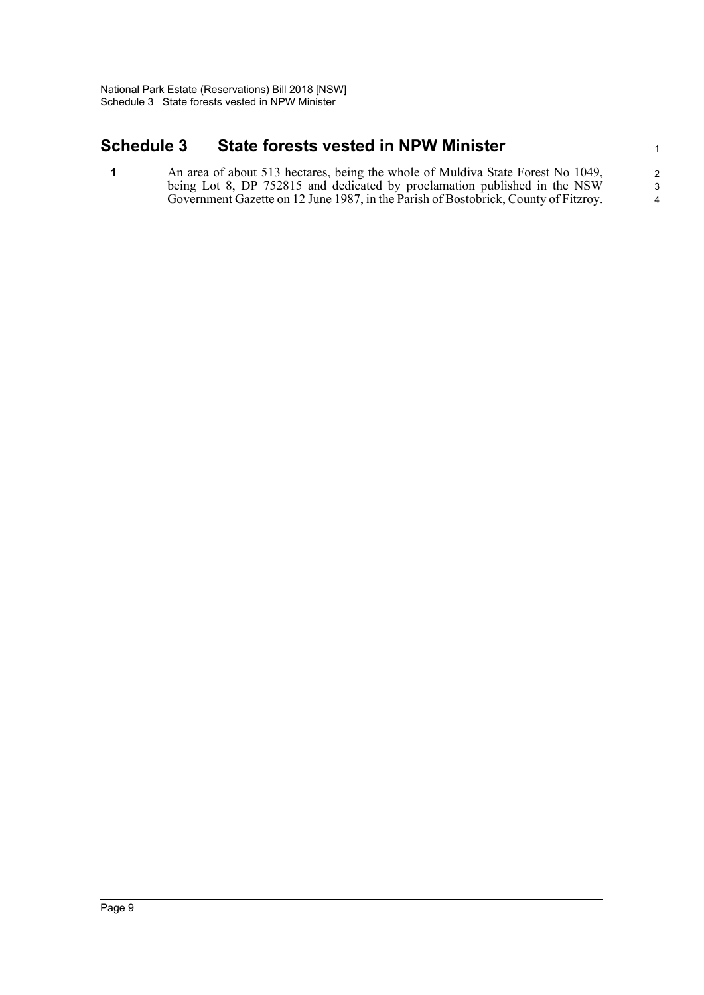## <span id="page-11-0"></span>**Schedule 3 State forests vested in NPW Minister** 1

**1** An area of about 513 hectares, being the whole of Muldiva State Forest No 1049, 2 being Lot 8, DP 752815 and dedicated by proclamation published in the NSW Government Gazette on 12 June 1987, in the Parish of Bostobrick, County of Fitzroy. 4

3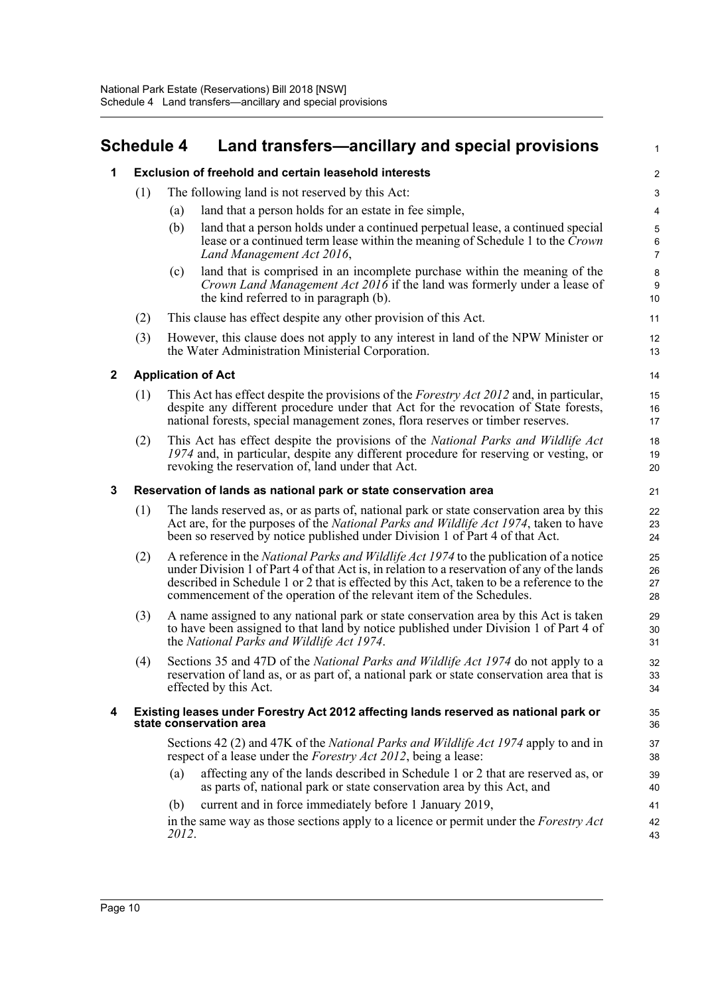# <span id="page-12-0"></span>**Schedule 4 Land transfers—ancillary and special provisions**

| 1            |                                                                  | <b>Exclusion of freehold and certain leasehold interests</b>                                                                                                                                                                                                                                                                                                      | 2                                 |  |
|--------------|------------------------------------------------------------------|-------------------------------------------------------------------------------------------------------------------------------------------------------------------------------------------------------------------------------------------------------------------------------------------------------------------------------------------------------------------|-----------------------------------|--|
|              | (1)                                                              | The following land is not reserved by this Act:                                                                                                                                                                                                                                                                                                                   | $\ensuremath{\mathsf{3}}$         |  |
|              |                                                                  | land that a person holds for an estate in fee simple,<br>(a)                                                                                                                                                                                                                                                                                                      | 4                                 |  |
|              |                                                                  | (b)<br>land that a person holds under a continued perpetual lease, a continued special<br>lease or a continued term lease within the meaning of Schedule 1 to the Crown<br>Land Management Act 2016,                                                                                                                                                              | $\sqrt{5}$<br>6<br>$\overline{7}$ |  |
|              |                                                                  | land that is comprised in an incomplete purchase within the meaning of the<br>(c)<br>Crown Land Management Act 2016 if the land was formerly under a lease of<br>the kind referred to in paragraph (b).                                                                                                                                                           | 8<br>$\boldsymbol{9}$<br>10       |  |
|              | (2)                                                              | This clause has effect despite any other provision of this Act.                                                                                                                                                                                                                                                                                                   | 11                                |  |
| (3)          |                                                                  | However, this clause does not apply to any interest in land of the NPW Minister or<br>the Water Administration Ministerial Corporation.                                                                                                                                                                                                                           | 12<br>13                          |  |
| $\mathbf{2}$ |                                                                  | <b>Application of Act</b>                                                                                                                                                                                                                                                                                                                                         | 14                                |  |
|              | (1)                                                              | This Act has effect despite the provisions of the <i>Forestry Act 2012</i> and, in particular,<br>despite any different procedure under that Act for the revocation of State forests,<br>national forests, special management zones, flora reserves or timber reserves.                                                                                           | 15<br>16<br>17                    |  |
|              | (2)                                                              | This Act has effect despite the provisions of the National Parks and Wildlife Act<br>1974 and, in particular, despite any different procedure for reserving or vesting, or<br>revoking the reservation of, land under that Act.                                                                                                                                   | 18<br>19<br>20                    |  |
| 3            | Reservation of lands as national park or state conservation area |                                                                                                                                                                                                                                                                                                                                                                   |                                   |  |
|              | (1)                                                              | The lands reserved as, or as parts of, national park or state conservation area by this<br>Act are, for the purposes of the <i>National Parks and Wildlife Act 1974</i> , taken to have<br>been so reserved by notice published under Division 1 of Part 4 of that Act.                                                                                           | 22<br>23<br>24                    |  |
|              | (2)                                                              | A reference in the <i>National Parks and Wildlife Act 1974</i> to the publication of a notice<br>under Division 1 of Part 4 of that Act is, in relation to a reservation of any of the lands<br>described in Schedule 1 or 2 that is effected by this Act, taken to be a reference to the<br>commencement of the operation of the relevant item of the Schedules. | 25<br>26<br>27<br>28              |  |
|              | (3)                                                              | A name assigned to any national park or state conservation area by this Act is taken<br>to have been assigned to that land by notice published under Division 1 of Part 4 of<br>the National Parks and Wildlife Act 1974.                                                                                                                                         | 29<br>30<br>31                    |  |
|              | (4)                                                              | Sections 35 and 47D of the <i>National Parks and Wildlife Act 1974</i> do not apply to a<br>reservation of land as, or as part of, a national park or state conservation area that is<br>effected by this Act.                                                                                                                                                    |                                   |  |
| 4            |                                                                  | Existing leases under Forestry Act 2012 affecting lands reserved as national park or<br>state conservation area                                                                                                                                                                                                                                                   | 35<br>36                          |  |
|              |                                                                  | Sections 42 (2) and 47K of the <i>National Parks and Wildlife Act 1974</i> apply to and in<br>respect of a lease under the <i>Forestry Act 2012</i> , being a lease:                                                                                                                                                                                              | 37<br>38                          |  |
|              |                                                                  | affecting any of the lands described in Schedule 1 or 2 that are reserved as, or<br>(a)<br>as parts of, national park or state conservation area by this Act, and                                                                                                                                                                                                 | 39<br>40                          |  |
|              |                                                                  | current and in force immediately before 1 January 2019,<br>(b)                                                                                                                                                                                                                                                                                                    | 41                                |  |
|              |                                                                  | in the same way as those sections apply to a licence or permit under the <i>Forestry Act</i><br>2012.                                                                                                                                                                                                                                                             | 42<br>43                          |  |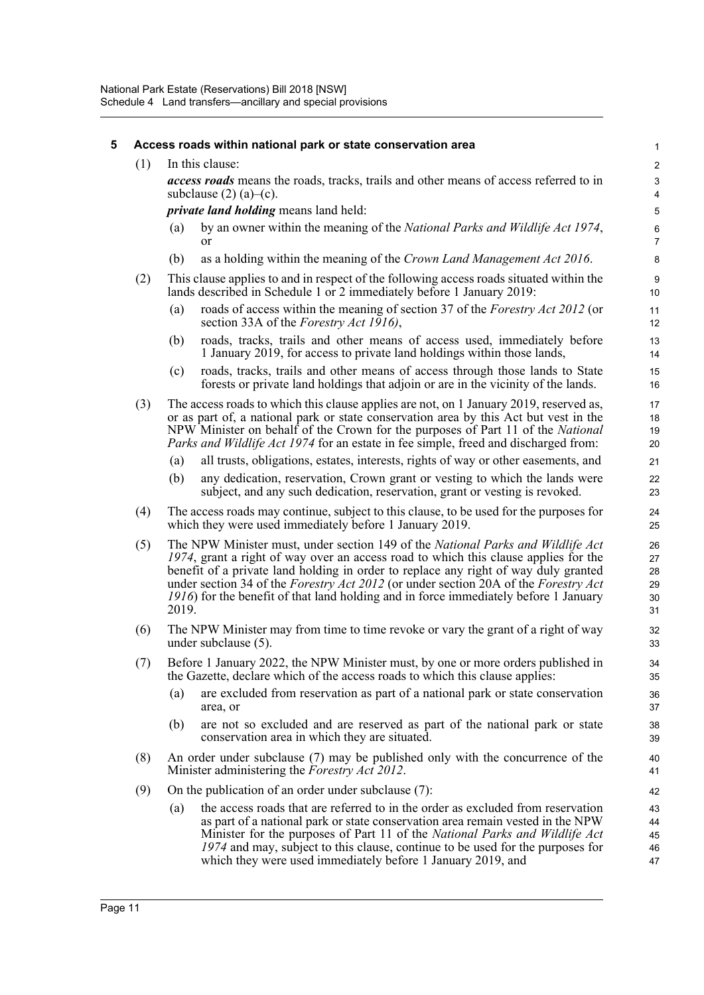| 5 | Access roads within national park or state conservation area |                                                                                                                                                                                                                                                                                                                                                                                                                                                                     |                                                                                                                                                                                                                                                                                                                                                           |                                    |  |  |
|---|--------------------------------------------------------------|---------------------------------------------------------------------------------------------------------------------------------------------------------------------------------------------------------------------------------------------------------------------------------------------------------------------------------------------------------------------------------------------------------------------------------------------------------------------|-----------------------------------------------------------------------------------------------------------------------------------------------------------------------------------------------------------------------------------------------------------------------------------------------------------------------------------------------------------|------------------------------------|--|--|
|   | (1)                                                          | In this clause:                                                                                                                                                                                                                                                                                                                                                                                                                                                     |                                                                                                                                                                                                                                                                                                                                                           |                                    |  |  |
|   |                                                              | access roads means the roads, tracks, trails and other means of access referred to in<br>subclause $(2)$ (a)–(c).                                                                                                                                                                                                                                                                                                                                                   |                                                                                                                                                                                                                                                                                                                                                           |                                    |  |  |
|   |                                                              | <i>private land holding</i> means land held:                                                                                                                                                                                                                                                                                                                                                                                                                        |                                                                                                                                                                                                                                                                                                                                                           |                                    |  |  |
|   |                                                              | (a)                                                                                                                                                                                                                                                                                                                                                                                                                                                                 | by an owner within the meaning of the National Parks and Wildlife Act 1974,<br><b>or</b>                                                                                                                                                                                                                                                                  | $\boldsymbol{6}$<br>$\overline{7}$ |  |  |
|   |                                                              | (b)                                                                                                                                                                                                                                                                                                                                                                                                                                                                 | as a holding within the meaning of the Crown Land Management Act 2016.                                                                                                                                                                                                                                                                                    | 8                                  |  |  |
|   | (2)                                                          |                                                                                                                                                                                                                                                                                                                                                                                                                                                                     | This clause applies to and in respect of the following access roads situated within the<br>lands described in Schedule 1 or 2 immediately before 1 January 2019:                                                                                                                                                                                          | 9<br>10                            |  |  |
|   |                                                              | (a)                                                                                                                                                                                                                                                                                                                                                                                                                                                                 | roads of access within the meaning of section 37 of the Forestry Act 2012 (or<br>section 33A of the <i>Forestry Act 1916</i> ),                                                                                                                                                                                                                           | 11<br>12                           |  |  |
|   |                                                              | (b)                                                                                                                                                                                                                                                                                                                                                                                                                                                                 | roads, tracks, trails and other means of access used, immediately before<br>1 January 2019, for access to private land holdings within those lands,                                                                                                                                                                                                       | 13<br>14                           |  |  |
|   |                                                              | (c)                                                                                                                                                                                                                                                                                                                                                                                                                                                                 | roads, tracks, trails and other means of access through those lands to State<br>forests or private land holdings that adjoin or are in the vicinity of the lands.                                                                                                                                                                                         | 15<br>16                           |  |  |
|   | (3)                                                          |                                                                                                                                                                                                                                                                                                                                                                                                                                                                     | The access roads to which this clause applies are not, on 1 January 2019, reserved as,<br>or as part of, a national park or state conservation area by this Act but vest in the<br>NPW Minister on behalf of the Crown for the purposes of Part 11 of the National<br>Parks and Wildlife Act 1974 for an estate in fee simple, freed and discharged from: | 17<br>18<br>19<br>20               |  |  |
|   |                                                              | (a)                                                                                                                                                                                                                                                                                                                                                                                                                                                                 | all trusts, obligations, estates, interests, rights of way or other easements, and                                                                                                                                                                                                                                                                        | 21                                 |  |  |
|   |                                                              | (b)                                                                                                                                                                                                                                                                                                                                                                                                                                                                 | any dedication, reservation, Crown grant or vesting to which the lands were<br>subject, and any such dedication, reservation, grant or vesting is revoked.                                                                                                                                                                                                | 22<br>23                           |  |  |
|   | (4)                                                          |                                                                                                                                                                                                                                                                                                                                                                                                                                                                     | The access roads may continue, subject to this clause, to be used for the purposes for<br>which they were used immediately before 1 January 2019.                                                                                                                                                                                                         | 24<br>25                           |  |  |
|   | (5)                                                          | The NPW Minister must, under section 149 of the National Parks and Wildlife Act<br>1974, grant a right of way over an access road to which this clause applies for the<br>benefit of a private land holding in order to replace any right of way duly granted<br>under section 34 of the <i>Forestry Act 2012</i> (or under section 20A of the <i>Forestry Act</i><br>1916) for the benefit of that land holding and in force immediately before 1 January<br>2019. |                                                                                                                                                                                                                                                                                                                                                           |                                    |  |  |
|   | (6)                                                          | The NPW Minister may from time to time revoke or vary the grant of a right of way<br>under subclause (5).                                                                                                                                                                                                                                                                                                                                                           |                                                                                                                                                                                                                                                                                                                                                           |                                    |  |  |
|   | (7)                                                          |                                                                                                                                                                                                                                                                                                                                                                                                                                                                     | Before 1 January 2022, the NPW Minister must, by one or more orders published in<br>the Gazette, declare which of the access roads to which this clause applies:                                                                                                                                                                                          | 34<br>35                           |  |  |
|   |                                                              | (a)                                                                                                                                                                                                                                                                                                                                                                                                                                                                 | are excluded from reservation as part of a national park or state conservation<br>area, or                                                                                                                                                                                                                                                                | 36<br>37                           |  |  |
|   |                                                              | (b)                                                                                                                                                                                                                                                                                                                                                                                                                                                                 | are not so excluded and are reserved as part of the national park or state<br>conservation area in which they are situated.                                                                                                                                                                                                                               | 38<br>39                           |  |  |
|   | (8)                                                          |                                                                                                                                                                                                                                                                                                                                                                                                                                                                     | An order under subclause (7) may be published only with the concurrence of the<br>Minister administering the <i>Forestry Act 2012</i> .                                                                                                                                                                                                                   | 40<br>41                           |  |  |
|   | (9)                                                          |                                                                                                                                                                                                                                                                                                                                                                                                                                                                     | On the publication of an order under subclause (7):                                                                                                                                                                                                                                                                                                       | 42                                 |  |  |
|   |                                                              | (a)                                                                                                                                                                                                                                                                                                                                                                                                                                                                 | the access roads that are referred to in the order as excluded from reservation<br>as part of a national park or state conservation area remain vested in the NPW                                                                                                                                                                                         | 43<br>44                           |  |  |
|   |                                                              |                                                                                                                                                                                                                                                                                                                                                                                                                                                                     | Minister for the purposes of Part 11 of the National Parks and Wildlife Act<br>1974 and may, subject to this clause, continue to be used for the purposes for<br>which they were used immediately before 1 January 2019, and                                                                                                                              | 45<br>46<br>47                     |  |  |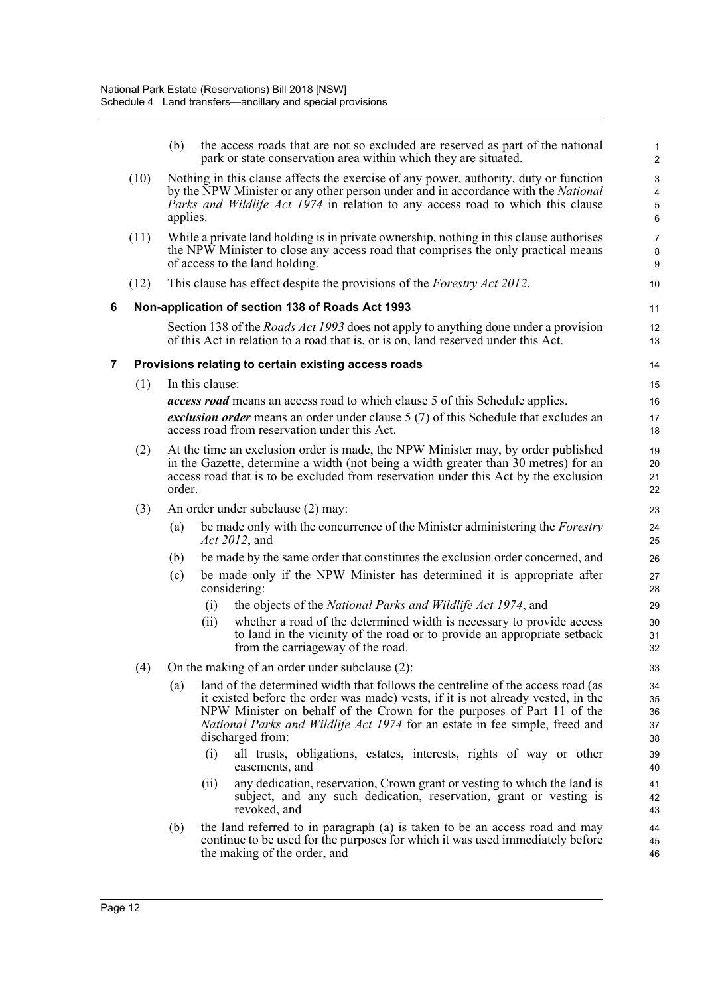|   |      | (b)                                                                                                                                                                                                                                                                              |                 | the access roads that are not so excluded are reserved as part of the national<br>park or state conservation area within which they are situated.                                                                                                                                                                                                | $\mathbf{1}$<br>$\overline{2}$ |
|---|------|----------------------------------------------------------------------------------------------------------------------------------------------------------------------------------------------------------------------------------------------------------------------------------|-----------------|--------------------------------------------------------------------------------------------------------------------------------------------------------------------------------------------------------------------------------------------------------------------------------------------------------------------------------------------------|--------------------------------|
|   | (10) | Nothing in this clause affects the exercise of any power, authority, duty or function<br>by the NPW Minister or any other person under and in accordance with the National<br><i>Parks and Wildlife Act 1974</i> in relation to any access road to which this clause<br>applies. |                 | 3<br>$\overline{\mathbf{4}}$<br>$\mathbf 5$<br>6                                                                                                                                                                                                                                                                                                 |                                |
|   | (11) |                                                                                                                                                                                                                                                                                  |                 | While a private land holding is in private ownership, nothing in this clause authorises<br>the NPW Minister to close any access road that comprises the only practical means<br>of access to the land holding.                                                                                                                                   | $\overline{7}$<br>8<br>9       |
|   | (12) |                                                                                                                                                                                                                                                                                  |                 | This clause has effect despite the provisions of the <i>Forestry Act 2012</i> .                                                                                                                                                                                                                                                                  | 10                             |
| 6 |      |                                                                                                                                                                                                                                                                                  |                 | Non-application of section 138 of Roads Act 1993                                                                                                                                                                                                                                                                                                 | 11                             |
|   |      |                                                                                                                                                                                                                                                                                  |                 | Section 138 of the <i>Roads Act 1993</i> does not apply to anything done under a provision<br>of this Act in relation to a road that is, or is on, land reserved under this Act.                                                                                                                                                                 | 12<br>13                       |
| 7 |      |                                                                                                                                                                                                                                                                                  |                 | Provisions relating to certain existing access roads                                                                                                                                                                                                                                                                                             | 14                             |
|   | (1)  |                                                                                                                                                                                                                                                                                  | In this clause: |                                                                                                                                                                                                                                                                                                                                                  | 15                             |
|   |      |                                                                                                                                                                                                                                                                                  |                 | <i>access road</i> means an access road to which clause 5 of this Schedule applies.                                                                                                                                                                                                                                                              | 16                             |
|   |      |                                                                                                                                                                                                                                                                                  |                 | exclusion order means an order under clause 5 (7) of this Schedule that excludes an<br>access road from reservation under this Act.                                                                                                                                                                                                              | 17<br>18                       |
|   | (2)  | At the time an exclusion order is made, the NPW Minister may, by order published<br>in the Gazette, determine a width (not being a width greater than 30 metres) for an<br>access road that is to be excluded from reservation under this Act by the exclusion<br>order.         |                 | 19<br>20<br>21<br>22                                                                                                                                                                                                                                                                                                                             |                                |
|   | (3)  |                                                                                                                                                                                                                                                                                  |                 | An order under subclause (2) may:                                                                                                                                                                                                                                                                                                                | 23                             |
|   |      | (a)                                                                                                                                                                                                                                                                              |                 | be made only with the concurrence of the Minister administering the <i>Forestry</i><br>Act 2012, and                                                                                                                                                                                                                                             | 24<br>25                       |
|   |      | (b)                                                                                                                                                                                                                                                                              |                 | be made by the same order that constitutes the exclusion order concerned, and                                                                                                                                                                                                                                                                    | 26                             |
|   |      | (c)                                                                                                                                                                                                                                                                              |                 | be made only if the NPW Minister has determined it is appropriate after<br>considering:                                                                                                                                                                                                                                                          | 27<br>28                       |
|   |      |                                                                                                                                                                                                                                                                                  | (i)             | the objects of the <i>National Parks and Wildlife Act 1974</i> , and                                                                                                                                                                                                                                                                             | 29                             |
|   |      |                                                                                                                                                                                                                                                                                  | (i)             | whether a road of the determined width is necessary to provide access<br>to land in the vicinity of the road or to provide an appropriate setback<br>from the carriageway of the road.                                                                                                                                                           | 30<br>31<br>32                 |
|   | (4)  |                                                                                                                                                                                                                                                                                  |                 | On the making of an order under subclause (2):                                                                                                                                                                                                                                                                                                   | 33                             |
|   |      | (a)                                                                                                                                                                                                                                                                              |                 | land of the determined width that follows the centreline of the access road (as<br>it existed before the order was made) vests, if it is not already vested, in the<br>NPW Minister on behalf of the Crown for the purposes of Part 11 of the<br>National Parks and Wildlife Act 1974 for an estate in fee simple, freed and<br>discharged from: | 34<br>35<br>36<br>37<br>38     |
|   |      |                                                                                                                                                                                                                                                                                  | (i)             | all trusts, obligations, estates, interests, rights of way or other<br>easements, and                                                                                                                                                                                                                                                            | 39<br>40                       |
|   |      |                                                                                                                                                                                                                                                                                  | (ii)            | any dedication, reservation, Crown grant or vesting to which the land is<br>subject, and any such dedication, reservation, grant or vesting is<br>revoked, and                                                                                                                                                                                   | 41<br>42<br>43                 |
|   |      | (b)                                                                                                                                                                                                                                                                              |                 | the land referred to in paragraph (a) is taken to be an access road and may<br>continue to be used for the purposes for which it was used immediately before<br>the making of the order, and                                                                                                                                                     | 44<br>45<br>46                 |